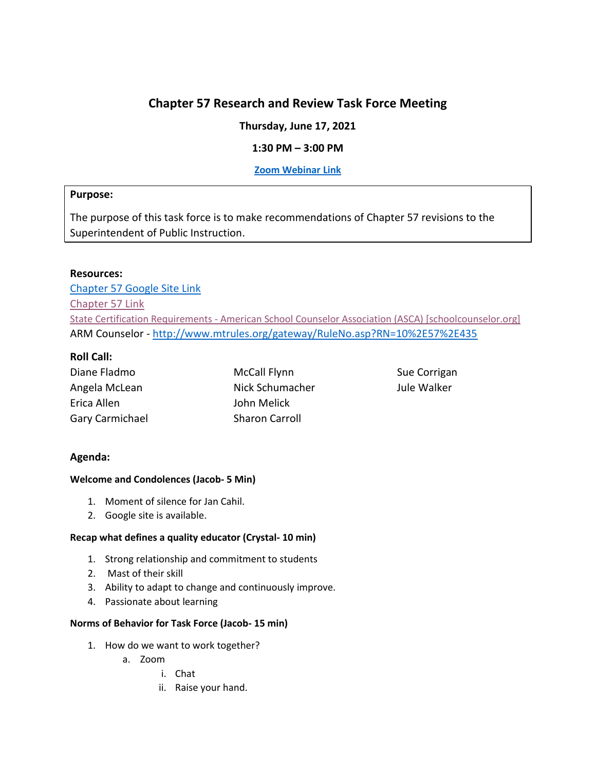# **Chapter 57 Research and Review Task Force Meeting**

**Thursday, June 17, 2021**

## **1:30 PM – 3:00 PM**

## **[Zoom Webinar](https://mt-gov.zoom.us/j/89984255141?pwd=dTkrT0RLK2lOTU5aUXpLdThWVy92dz09) Link**

### **Purpose:**

The purpose of this task force is to make recommendations of Chapter 57 revisions to the Superintendent of Public Instruction.

### **Resources:**

[Chapter 57 Google Site Link](https://sites.google.com/opiconnect.org/educator-licensing-revision-te/home%20%5bsites.google.com%5d) [Chapter 57 Link](http://www.mtrules.org/gateway/ChapterHome.asp?Chapter=10%2E57) State Certification Requirements - [American School Counselor Association \(ASCA\) \[schoolcounselor.org\]](https://urldefense.com/v3/__https:/www.schoolcounselor.org/About-School-Counseling/State-Requirements-Programs/State-Licensure-Requirements__;!!GaaboA!6mSTknAayorMh0NW6efZ5qrAyu0Tp6aXpKZG9-DqE1LmzDJ5-Qr7e0sRZzqnzTZ0ODGb$) ARM Counselor - <http://www.mtrules.org/gateway/RuleNo.asp?RN=10%2E57%2E435>

## **Roll Call:**

| Diane Fladmo    |
|-----------------|
| Angela McLean   |
| Erica Allen     |
| Gary Carmichael |

McCall Flynn Nick Schumacher John Melick Sharon Carroll

Sue Corrigan Jule Walker

## **Agenda:**

#### **Welcome and Condolences (Jacob- 5 Min)**

- 1. Moment of silence for Jan Cahil.
- 2. Google site is available.

## **Recap what defines a quality educator (Crystal- 10 min)**

- 1. Strong relationship and commitment to students
- 2. Mast of their skill
- 3. Ability to adapt to change and continuously improve.
- 4. Passionate about learning

#### **Norms of Behavior for Task Force (Jacob- 15 min)**

- 1. How do we want to work together?
	- a. Zoom
		- i. Chat
		- ii. Raise your hand.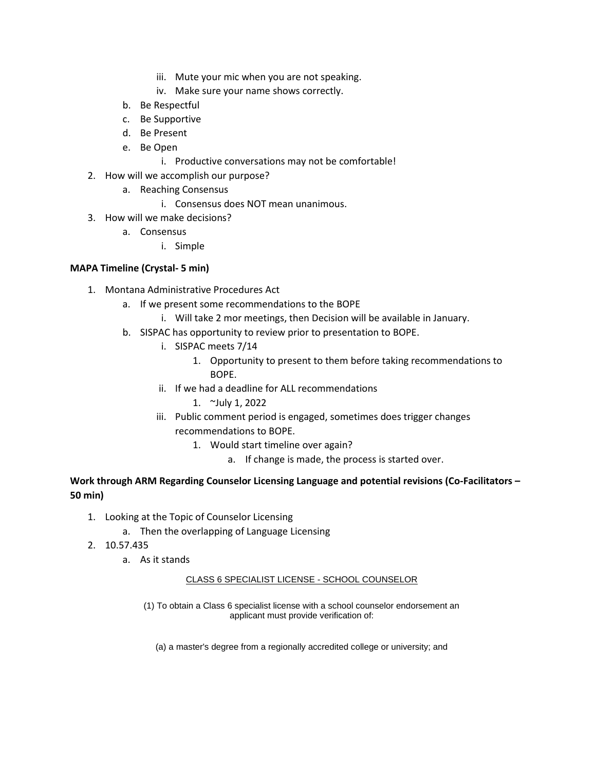- iii. Mute your mic when you are not speaking.
- iv. Make sure your name shows correctly.
- b. Be Respectful
- c. Be Supportive
- d. Be Present
- e. Be Open
	- i. Productive conversations may not be comfortable!
- 2. How will we accomplish our purpose?
	- a. Reaching Consensus
		- i. Consensus does NOT mean unanimous.
- 3. How will we make decisions?
	- a. Consensus
		- i. Simple

### **MAPA Timeline (Crystal- 5 min)**

- 1. Montana Administrative Procedures Act
	- a. If we present some recommendations to the BOPE
		- i. Will take 2 mor meetings, then Decision will be available in January.
	- b. SISPAC has opportunity to review prior to presentation to BOPE.
		- i. SISPAC meets 7/14
			- 1. Opportunity to present to them before taking recommendations to BOPE.
		- ii. If we had a deadline for ALL recommendations
			- 1. ~July 1, 2022
		- iii. Public comment period is engaged, sometimes does trigger changes recommendations to BOPE.
			- 1. Would start timeline over again?
				- a. If change is made, the process is started over.

## **Work through ARM Regarding Counselor Licensing Language and potential revisions (Co-Facilitators – 50 min)**

- 1. Looking at the Topic of Counselor Licensing
	- a. Then the overlapping of Language Licensing
- 2. 10.57.435
	- a. As it stands

#### CLASS 6 SPECIALIST LICENSE - SCHOOL COUNSELOR

(1) To obtain a Class 6 specialist license with a school counselor endorsement an applicant must provide verification of:

(a) a master's degree from a regionally accredited college or university; and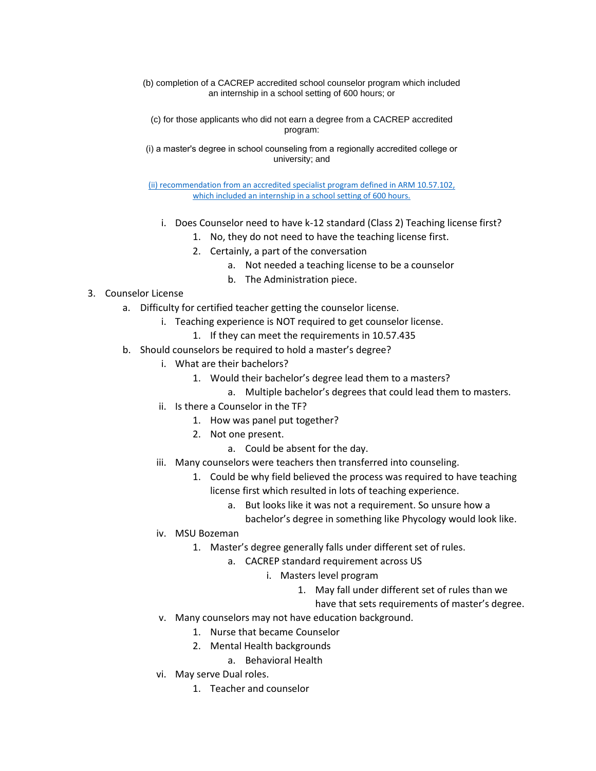(b) completion of a CACREP accredited school counselor program which included an internship in a school setting of 600 hours; or

(c) for those applicants who did not earn a degree from a CACREP accredited program:

(i) a masterʹs degree in school counseling from a regionally accredited college or university; and

[\(ii\) recommendation from an accredited specialist program defined in ARM](http://www.mtrules.org/gateway/ruleno.asp?RN=10.57.102) 10.57.102, [which included an internship in a school setting of 600 hours.](http://www.mtrules.org/gateway/ruleno.asp?RN=10.57.102)

- i. Does Counselor need to have k-12 standard (Class 2) Teaching license first?
	- 1. No, they do not need to have the teaching license first.
		- 2. Certainly, a part of the conversation
			- a. Not needed a teaching license to be a counselor
			- b. The Administration piece.
- 3. Counselor License
	- a. Difficulty for certified teacher getting the counselor license.
		- i. Teaching experience is NOT required to get counselor license.
			- 1. If they can meet the requirements in 10.57.435
	- b. Should counselors be required to hold a master's degree?
		- i. What are their bachelors?
			- 1. Would their bachelor's degree lead them to a masters?
				- a. Multiple bachelor's degrees that could lead them to masters.
		- ii. Is there a Counselor in the TF?
			- 1. How was panel put together?
			- 2. Not one present.
				- a. Could be absent for the day.
		- iii. Many counselors were teachers then transferred into counseling.
			- 1. Could be why field believed the process was required to have teaching license first which resulted in lots of teaching experience.
				- a. But looks like it was not a requirement. So unsure how a
					- bachelor's degree in something like Phycology would look like.
		- iv. MSU Bozeman
			- 1. Master's degree generally falls under different set of rules.
				- a. CACREP standard requirement across US
					- i. Masters level program
						- 1. May fall under different set of rules than we
							- have that sets requirements of master's degree.
		- v. Many counselors may not have education background.
			- 1. Nurse that became Counselor
			- 2. Mental Health backgrounds
				- a. Behavioral Health
		- vi. May serve Dual roles.
			- 1. Teacher and counselor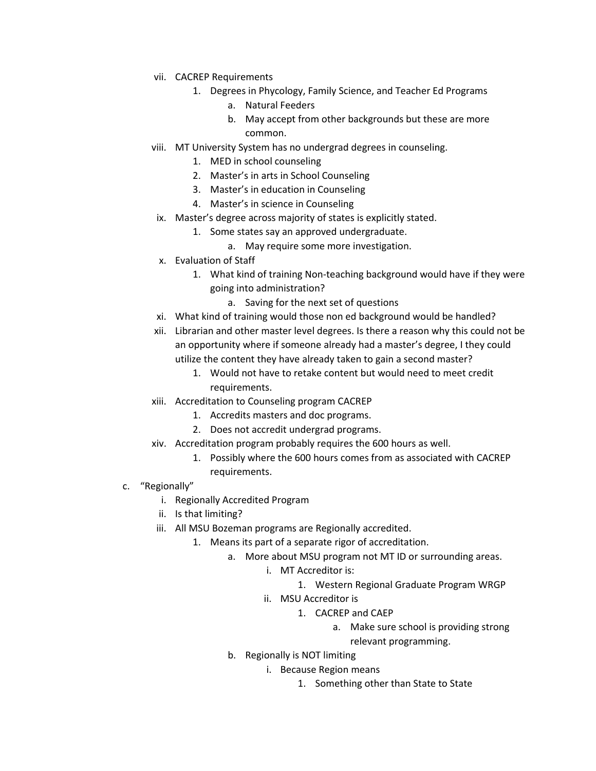- vii. CACREP Requirements
	- 1. Degrees in Phycology, Family Science, and Teacher Ed Programs
		- a. Natural Feeders
		- b. May accept from other backgrounds but these are more common.
- viii. MT University System has no undergrad degrees in counseling.
	- 1. MED in school counseling
	- 2. Master's in arts in School Counseling
	- 3. Master's in education in Counseling
	- 4. Master's in science in Counseling
- ix. Master's degree across majority of states is explicitly stated.
	- 1. Some states say an approved undergraduate.
		- a. May require some more investigation.
- x. Evaluation of Staff
	- 1. What kind of training Non-teaching background would have if they were going into administration?
		- a. Saving for the next set of questions
- xi. What kind of training would those non ed background would be handled?
- xii. Librarian and other master level degrees. Is there a reason why this could not be an opportunity where if someone already had a master's degree, I they could utilize the content they have already taken to gain a second master?
	- 1. Would not have to retake content but would need to meet credit requirements.
- xiii. Accreditation to Counseling program CACREP
	- 1. Accredits masters and doc programs.
	- 2. Does not accredit undergrad programs.
- xiv. Accreditation program probably requires the 600 hours as well.
	- 1. Possibly where the 600 hours comes from as associated with CACREP requirements.
- c. "Regionally"
	- i. Regionally Accredited Program
	- ii. Is that limiting?
	- iii. All MSU Bozeman programs are Regionally accredited.
		- 1. Means its part of a separate rigor of accreditation.
			- a. More about MSU program not MT ID or surrounding areas.
				- i. MT Accreditor is:
					- 1. Western Regional Graduate Program WRGP
				- ii. MSU Accreditor is
					- 1. CACREP and CAEP
						- a. Make sure school is providing strong

relevant programming.

- b. Regionally is NOT limiting
	- i. Because Region means
		- 1. Something other than State to State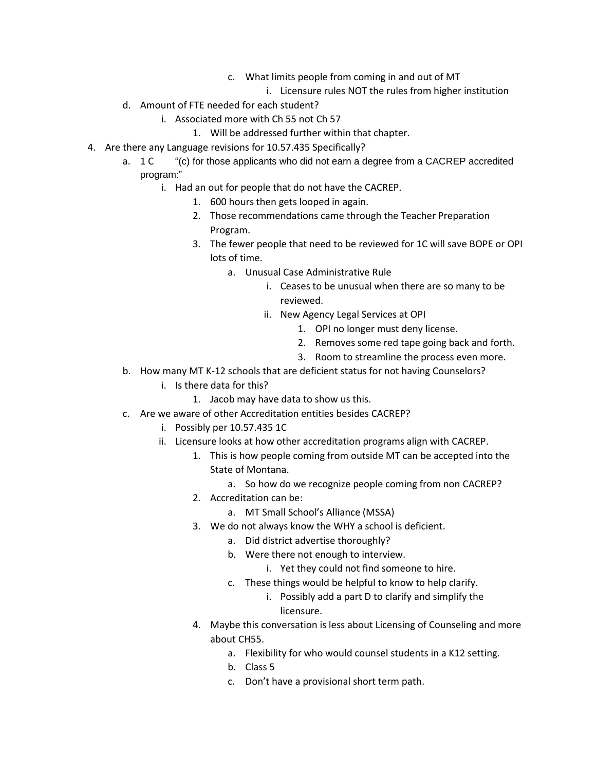- c. What limits people from coming in and out of MT
	- i. Licensure rules NOT the rules from higher institution
- d. Amount of FTE needed for each student?
	- i. Associated more with Ch 55 not Ch 57
		- 1. Will be addressed further within that chapter.
- 4. Are there any Language revisions for 10.57.435 Specifically?
	- a. 1 C "(c) for those applicants who did not earn a degree from a CACREP accredited program:"
		- i. Had an out for people that do not have the CACREP.
			- 1. 600 hours then gets looped in again.
			- 2. Those recommendations came through the Teacher Preparation Program.
			- 3. The fewer people that need to be reviewed for 1C will save BOPE or OPI lots of time.
				- a. Unusual Case Administrative Rule
					- i. Ceases to be unusual when there are so many to be reviewed.
					- ii. New Agency Legal Services at OPI
						- 1. OPI no longer must deny license.
						- 2. Removes some red tape going back and forth.
						- 3. Room to streamline the process even more.
	- b. How many MT K-12 schools that are deficient status for not having Counselors?
		- i. Is there data for this?
			- 1. Jacob may have data to show us this.
	- c. Are we aware of other Accreditation entities besides CACREP?
		- i. Possibly per 10.57.435 1C
		- ii. Licensure looks at how other accreditation programs align with CACREP.
			- 1. This is how people coming from outside MT can be accepted into the State of Montana.
				- a. So how do we recognize people coming from non CACREP?
			- 2. Accreditation can be:
				- a. MT Small School's Alliance (MSSA)
			- 3. We do not always know the WHY a school is deficient.
				- a. Did district advertise thoroughly?
				- b. Were there not enough to interview.
					- i. Yet they could not find someone to hire.
				- c. These things would be helpful to know to help clarify.
					- i. Possibly add a part D to clarify and simplify the licensure.
			- 4. Maybe this conversation is less about Licensing of Counseling and more about CH55.
				- a. Flexibility for who would counsel students in a K12 setting.
				- b. Class 5
				- c. Don't have a provisional short term path.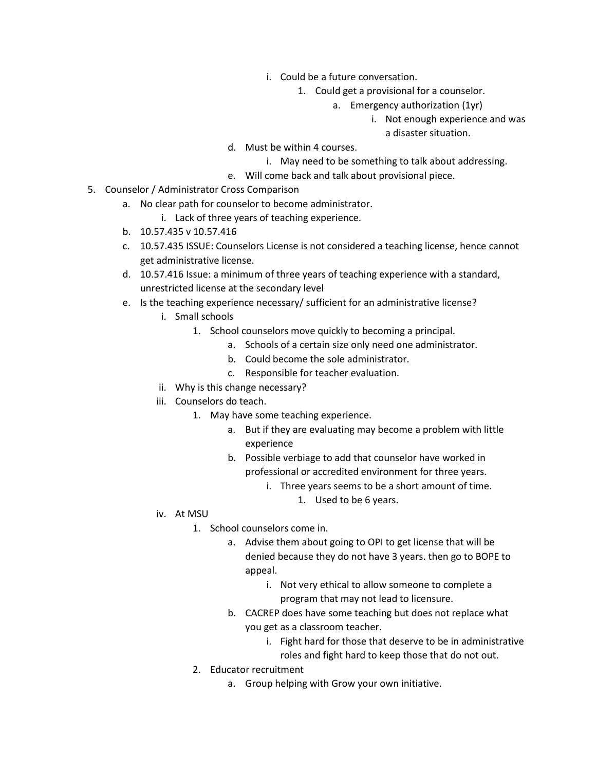- i. Could be a future conversation.
	- 1. Could get a provisional for a counselor.
		- a. Emergency authorization (1yr)
			- i. Not enough experience and was

a disaster situation.

- d. Must be within 4 courses.
	- i. May need to be something to talk about addressing.
- e. Will come back and talk about provisional piece.
- 5. Counselor / Administrator Cross Comparison
	- a. No clear path for counselor to become administrator.
		- i. Lack of three years of teaching experience.
	- b. 10.57.435 v 10.57.416
	- c. 10.57.435 ISSUE: Counselors License is not considered a teaching license, hence cannot get administrative license.
	- d. 10.57.416 Issue: a minimum of three years of teaching experience with a standard, unrestricted license at the secondary level
	- e. Is the teaching experience necessary/ sufficient for an administrative license?
		- i. Small schools
			- 1. School counselors move quickly to becoming a principal.
				- a. Schools of a certain size only need one administrator.
				- b. Could become the sole administrator.
				- c. Responsible for teacher evaluation.
		- ii. Why is this change necessary?
		- iii. Counselors do teach.
			- 1. May have some teaching experience.
				- a. But if they are evaluating may become a problem with little experience
				- b. Possible verbiage to add that counselor have worked in professional or accredited environment for three years.
					- i. Three years seems to be a short amount of time.
						- 1. Used to be 6 years.

- iv. At MSU
	- 1. School counselors come in.
		- a. Advise them about going to OPI to get license that will be denied because they do not have 3 years. then go to BOPE to appeal.
			- i. Not very ethical to allow someone to complete a program that may not lead to licensure.
		- b. CACREP does have some teaching but does not replace what you get as a classroom teacher.
			- i. Fight hard for those that deserve to be in administrative roles and fight hard to keep those that do not out.
	- 2. Educator recruitment
		- a. Group helping with Grow your own initiative.